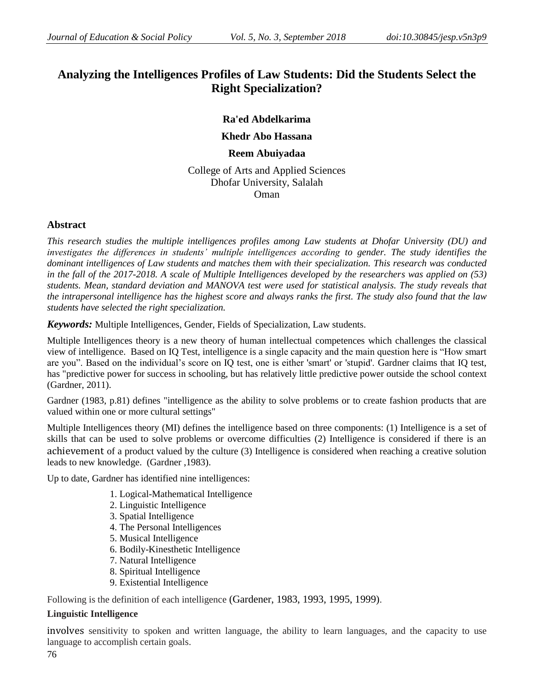# **Analyzing the Intelligences Profiles of Law Students: Did the Students Select the Right Specialization?**

# **Ra'ed Abdelkarima**

# **Khedr Abo Hassana**

## **Reem Abuiyadaa**

College of Arts and Applied Sciences Dhofar University, Salalah Oman

## **Abstract**

*This research studies the multiple intelligences profiles among Law students at Dhofar University (DU) and*  investigates the differences in students' multiple intelligences according to gender. The study identifies the *dominant intelligences of Law students and matches them with their specialization. This research was conducted in the fall of the 2017-2018. A scale of Multiple Intelligences developed by the researchers was applied on (53) students. Mean, standard deviation and MANOVA test were used for statistical analysis. The study reveals that the intrapersonal intelligence has the highest score and always ranks the first. The study also found that the law students have selected the right specialization.*

*Keywords:* Multiple Intelligences, Gender, Fields of Specialization, Law students.

Multiple Intelligences theory is a new theory of human intellectual competences which challenges the classical view of intelligence. Based on IQ Test, intelligence is a single capacity and the main question here is "How smart are you". Based on the individual's score on IQ test, one is either 'smart' or 'stupid'. Gardner claims that IQ test, has "predictive power for success in schooling, but has relatively little predictive power outside the school context (Gardner, 2011).

Gardner (1983, p.81) defines "intelligence as the ability to solve problems or to create fashion products that are valued within one or more cultural settings"

Multiple Intelligences theory (MI) defines the intelligence based on three components: (1) Intelligence is a set of skills that can be used to solve problems or overcome difficulties (2) Intelligence is considered if there is an achievement of a product valued by the culture (3) Intelligence is considered when reaching a creative solution leads to new knowledge. (Gardner ,1983).

Up to date, Gardner has identified nine intelligences:

- 1. Logical-Mathematical Intelligence
- 2. Linguistic Intelligence
- 3. Spatial Intelligence
- 4. The Personal Intelligences
- 5. Musical Intelligence
- 6. Bodily-Kinesthetic Intelligence
- 7. Natural Intelligence
- 8. Spiritual Intelligence
- 9. Existential Intelligence

Following is the definition of each intelligence (Gardener, 1983, 1993, 1995, 1999).

# **Linguistic Intelligence**

involves sensitivity to spoken and written language, the ability to learn languages, and the capacity to use language to accomplish certain goals.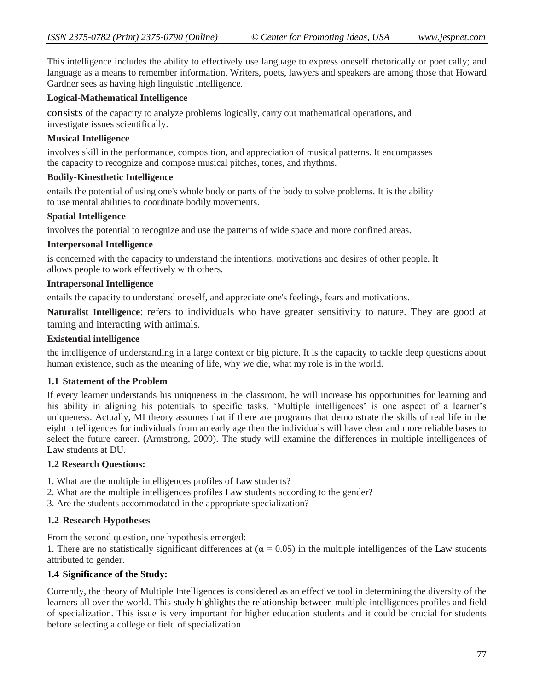This intelligence includes the ability to effectively use language to express oneself rhetorically or poetically; and language as a means to remember information. Writers, poets, lawyers and speakers are among those that Howard Gardner sees as having high linguistic intelligence.

## **Logical-Mathematical Intelligence**

consists of the capacity to analyze problems logically, carry out mathematical operations, and investigate issues scientifically.

## **Musical Intelligence**

involves skill in the performance, composition, and appreciation of musical patterns. It encompasses the capacity to recognize and compose musical pitches, tones, and rhythms.

## **Bodily-Kinesthetic Intelligence**

entails the potential of using one's whole body or parts of the body to solve problems. It is the ability to use mental abilities to coordinate bodily movements.

#### **Spatial Intelligence**

involves the potential to recognize and use the patterns of wide space and more confined areas.

#### **Interpersonal Intelligence**

is concerned with the capacity to understand the intentions, motivations and desires of other people. It allows people to work effectively with others.

#### **Intrapersonal Intelligence**

entails the capacity to understand oneself, and appreciate one's feelings, fears and motivations.

**Naturalist Intelligence**: refers to individuals who have greater sensitivity to nature. They are good at taming and interacting with animals.

#### **Existential intelligence**

the intelligence of understanding in a large context or big picture. It is the capacity to tackle deep questions about human existence, such as the meaning of life, why we die, what my role is in the world.

#### **1.1 Statement of the Problem**

If every learner understands his uniqueness in the classroom, he will increase his opportunities for learning and his ability in aligning his potentials to specific tasks. 'Multiple intelligences' is one aspect of a learner's uniqueness. Actually, MI theory assumes that if there are programs that demonstrate the skills of real life in the eight intelligences for individuals from an early age then the individuals will have clear and more reliable bases to select the future career. (Armstrong, 2009). The study will examine the differences in multiple intelligences of Law students at DU.

## **1.2 Research Questions:**

- 1. What are the multiple intelligences profiles of Law students?
- 2. What are the multiple intelligences profiles Law students according to the gender?
- 3. Are the students accommodated in the appropriate specialization?

## **1.2 Research Hypotheses**

From the second question, one hypothesis emerged:

1. There are no statistically significant differences at ( $\alpha = 0.05$ ) in the multiple intelligences of the Law students attributed to gender.

## **1.4 Significance of the Study:**

Currently, the theory of Multiple Intelligences is considered as an effective tool in determining the diversity of the learners all over the world. This study highlights the relationship between multiple intelligences profiles and field of specialization. This issue is very important for higher education students and it could be crucial for students before selecting a college or field of specialization.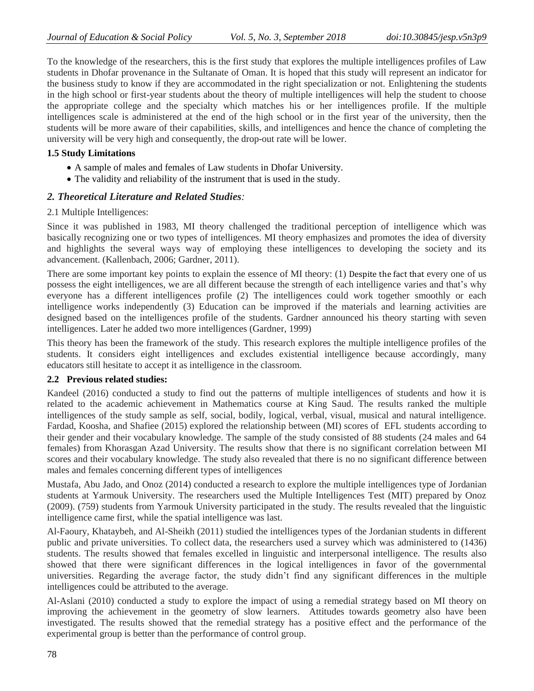To the knowledge of the researchers, this is the first study that explores the multiple intelligences profiles of Law students in Dhofar provenance in the Sultanate of Oman. It is hoped that this study will represent an indicator for the business study to know if they are accommodated in the right specialization or not. Enlightening the students in the high school or first-year students about the theory of multiple intelligences will help the student to choose the appropriate college and the specialty which matches his or her intelligences profile. If the multiple intelligences scale is administered at the end of the high school or in the first year of the university, then the students will be more aware of their capabilities, skills, and intelligences and hence the chance of completing the university will be very high and consequently, the drop-out rate will be lower.

## **1.5 Study Limitations**

- A sample of males and females of Law students in Dhofar University.
- The validity and reliability of the instrument that is used in the study.

## *2. Theoretical Literature and Related Studies:*

## 2.1 Multiple Intelligences:

Since it was published in 1983, MI theory challenged the traditional perception of intelligence which was basically recognizing one or two types of intelligences. MI theory emphasizes and promotes the idea of diversity and highlights the several ways way of employing these intelligences to developing the society and its advancement. (Kallenbach, 2006; Gardner, 2011).

There are some important key points to explain the essence of MI theory: (1) Despite the fact that every one of us possess the eight intelligences, we are all different because the strength of each intelligence varies and that"s why everyone has a different intelligences profile (2) The intelligences could work together smoothly or each intelligence works independently (3) Education can be improved if the materials and learning activities are designed based on the intelligences profile of the students. Gardner announced his theory starting with seven intelligences. Later he added two more intelligences (Gardner, 1999)

This theory has been the framework of the study. This research explores the multiple intelligence profiles of the students. It considers eight intelligences and excludes existential intelligence because accordingly, many educators still hesitate to accept it as intelligence in the classroom.

## **2.2 Previous related studies:**

Kandeel (2016) conducted a study to find out the patterns of multiple intelligences of students and how it is related to the academic achievement in Mathematics course at King Saud. The results ranked the multiple intelligences of the study sample as self, social, bodily, logical, verbal, visual, musical and natural intelligence. Fardad, Koosha, and Shafiee (2015) explored the relationship between (MI) scores of EFL students according to their gender and their vocabulary knowledge. The sample of the study consisted of 88 students (24 males and 64 females) from Khorasgan Azad University. The results show that there is no significant correlation between MI scores and their vocabulary knowledge. The study also revealed that there is no no significant difference between males and females concerning different types of intelligences

Mustafa, Abu Jado, and Onoz (2014) conducted a research to explore the multiple intelligences type of Jordanian students at Yarmouk University. The researchers used the Multiple Intelligences Test (MIT) prepared by Onoz (2009). (759) students from Yarmouk University participated in the study. The results revealed that the linguistic intelligence came first, while the spatial intelligence was last.

Al-Faoury, Khataybeh, and Al-Sheikh (2011) studied the intelligences types of the Jordanian students in different public and private universities. To collect data, the researchers used a survey which was administered to (1436) students. The results showed that females excelled in linguistic and interpersonal intelligence. The results also showed that there were significant differences in the logical intelligences in favor of the governmental universities. Regarding the average factor, the study didn"t find any significant differences in the multiple intelligences could be attributed to the average.

Al-Aslani (2010) conducted a study to explore the impact of using a remedial strategy based on MI theory on improving the achievement in the geometry of slow learners. Attitudes towards geometry also have been investigated. The results showed that the remedial strategy has a positive effect and the performance of the experimental group is better than the performance of control group.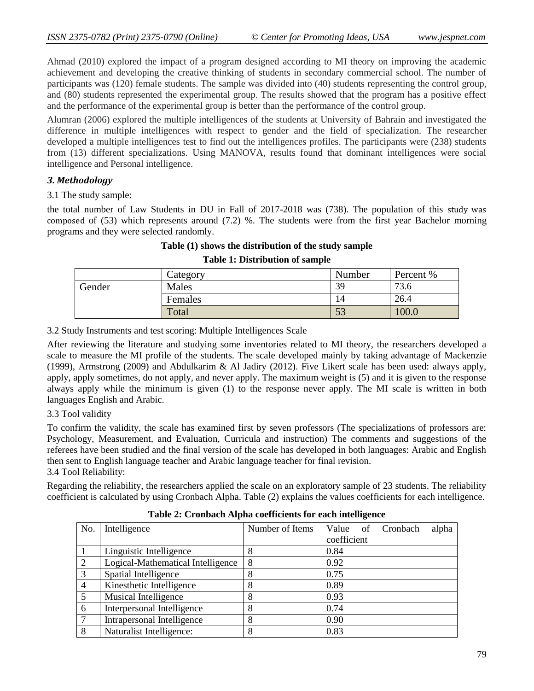Ahmad (2010) explored the impact of a program designed according to MI theory on improving the academic achievement and developing the creative thinking of students in secondary commercial school. The number of participants was (120) female students. The sample was divided into (40) students representing the control group, and (80) students represented the experimental group. The results showed that the program has a positive effect and the performance of the experimental group is better than the performance of the control group.

Alumran (2006) explored the multiple intelligences of the students at University of Bahrain and investigated the difference in multiple intelligences with respect to gender and the field of specialization. The researcher developed a multiple intelligences test to find out the intelligences profiles. The participants were (238) students from (13) different specializations. Using MANOVA, results found that dominant intelligences were social intelligence and Personal intelligence.

## *3. Methodology*

3.1 The study sample:

the total number of Law Students in DU in Fall of 2017-2018 was (738). The population of this study was composed of (53) which represents around (7.2) %. The students were from the first year Bachelor morning programs and they were selected randomly.

# **Table (1) shows the distribution of the study sample**

|        | Category | Number | Percent % |
|--------|----------|--------|-----------|
| Gender | Males    | 39     | 73.6      |
|        | Females  |        | 26.4      |
|        | Total    | JЭ     | 0.00      |

#### **Table 1: Distribution of sample**

3.2 Study Instruments and test scoring: Multiple Intelligences Scale

After reviewing the literature and studying some inventories related to MI theory, the researchers developed a scale to measure the MI profile of the students. The scale developed mainly by taking advantage of Mackenzie (1999), Armstrong (2009) and Abdulkarim & Al Jadiry (2012). Five Likert scale has been used: always apply, apply, apply sometimes, do not apply, and never apply. The maximum weight is (5) and it is given to the response always apply while the minimum is given (1) to the response never apply. The MI scale is written in both languages English and Arabic.

## 3.3 Tool validity

To confirm the validity, the scale has examined first by seven professors (The specializations of professors are: Psychology, Measurement, and Evaluation, Curricula and instruction) The comments and suggestions of the referees have been studied and the final version of the scale has developed in both languages: Arabic and English then sent to English language teacher and Arabic language teacher for final revision. 3.4 Tool Reliability:

Regarding the reliability, the researchers applied the scale on an exploratory sample of 23 students. The reliability coefficient is calculated by using Cronbach Alpha. Table (2) explains the values coefficients for each intelligence.

| No.            | Intelligence                      | Number of Items |             |  | Value of Cronbach | alpha |
|----------------|-----------------------------------|-----------------|-------------|--|-------------------|-------|
|                |                                   |                 | coefficient |  |                   |       |
|                | Linguistic Intelligence           | 8               | 0.84        |  |                   |       |
| 2              | Logical-Mathematical Intelligence | 8               | 0.92        |  |                   |       |
| 3              | Spatial Intelligence              | 8               | 0.75        |  |                   |       |
| $\overline{4}$ | Kinesthetic Intelligence          | 8               | 0.89        |  |                   |       |
| $\overline{5}$ | Musical Intelligence              | 8               | 0.93        |  |                   |       |
| -6             | Interpersonal Intelligence        | 8               | 0.74        |  |                   |       |
| $\overline{7}$ | Intrapersonal Intelligence        | 8               | 0.90        |  |                   |       |
| 8              | Naturalist Intelligence:          | 8               | 0.83        |  |                   |       |

## **Table 2: Cronbach Alpha coefficients for each intelligence**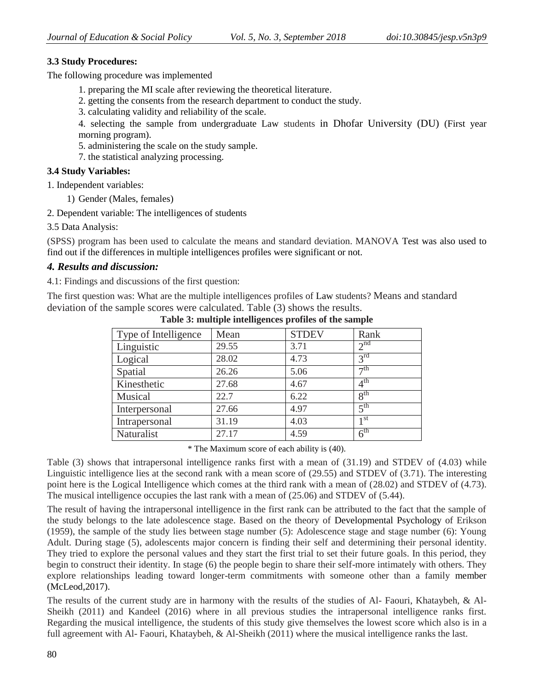# **3.3 Study Procedures:**

The following procedure was implemented

- 1. preparing the MI scale after reviewing the theoretical literature.
- 2. getting the consents from the research department to conduct the study.
- 3. calculating validity and reliability of the scale.

4. selecting the sample from undergraduate Law students in Dhofar University (DU) (First year morning program).

- 5. administering the scale on the study sample.
- 7. the statistical analyzing processing.

# **3.4 Study Variables:**

1. Independent variables:

- 1) Gender (Males, females)
- 2. Dependent variable: The intelligences of students
- 3.5 Data Analysis:

(SPSS) program has been used to calculate the means and standard deviation. MANOVA Test was also used to find out if the differences in multiple intelligences profiles were significant or not.

# *4. Results and discussion:*

4.1: Findings and discussions of the first question:

The first question was: What are the multiple intelligences profiles of Law students? Means and standard deviation of the sample scores were calculated. Table (3) shows the results.

| Type of Intelligence | Mean  | <b>STDEV</b> | Rank            |
|----------------------|-------|--------------|-----------------|
| Linguistic           | 29.55 | 3.71         | 2 <sup>nd</sup> |
| Logical              | 28.02 | 4.73         | $3^{rd}$        |
| Spatial              | 26.26 | 5.06         | $\neg$ th       |
| Kinesthetic          | 27.68 | 4.67         | 4 <sup>th</sup> |
| Musical              | 22.7  | 6.22         | 8 <sup>th</sup> |
| Interpersonal        | 27.66 | 4.97         | 5 <sup>th</sup> |
| Intrapersonal        | 31.19 | 4.03         | 1 st            |
| Naturalist           | 27.17 | 4.59         | 6 <sup>th</sup> |

**Table 3: multiple intelligences profiles of the sample**

\* The Maximum score of each ability is (40).

Table (3) shows that intrapersonal intelligence ranks first with a mean of (31.19) and STDEV of (4.03) while Linguistic intelligence lies at the second rank with a mean score of (29.55) and STDEV of (3.71). The interesting point here is the Logical Intelligence which comes at the third rank with a mean of (28.02) and STDEV of (4.73). The musical intelligence occupies the last rank with a mean of (25.06) and STDEV of (5.44).

The result of having the intrapersonal intelligence in the first rank can be attributed to the fact that the sample of the study belongs to the late adolescence stage. Based on the theory of [Developmental Psychology](https://www.simplypsychology.org/developmental-psychology.html) of Erikson (1959), the sample of the study lies between stage number (5): Adolescence stage and stage number (6): Young Adult. During stage (5), adolescents major concern is finding their self and determining their personal identity. They tried to explore the personal values and they start the first trial to set their future goals. In this period, they begin to construct their identity. In stage (6) the people begin to share their self-more intimately with others. They explore relationships leading toward longer-term commitments with someone other than a family member [\(McLeod,](https://www.simplypsychology.org/saul-mcleod.html)2017).

The results of the current study are in harmony with the results of the studies of Al- Faouri, Khataybeh, & Al-Sheikh (2011) and Kandeel (2016) where in all previous studies the intrapersonal intelligence ranks first. Regarding the musical intelligence, the students of this study give themselves the lowest score which also is in a full agreement with Al- Faouri, Khataybeh, & Al-Sheikh (2011) where the musical intelligence ranks the last.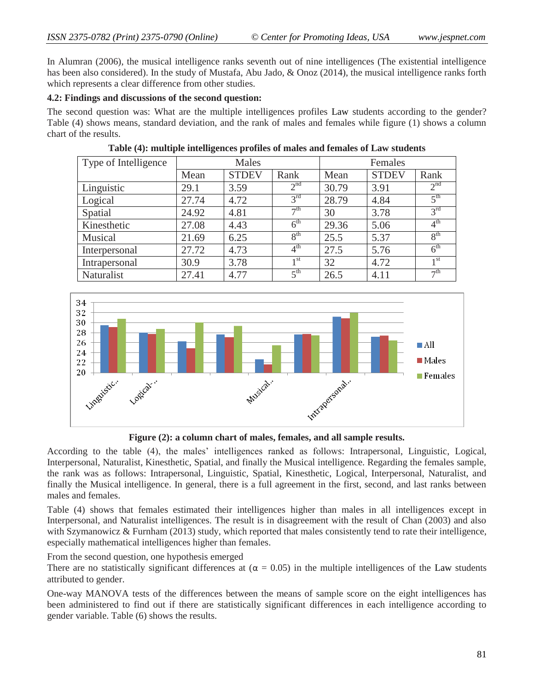In Alumran (2006), the musical intelligence ranks seventh out of nine intelligences (The existential intelligence has been also considered). In the study of Mustafa, Abu Jado, & Onoz (2014), the musical intelligence ranks forth which represents a clear difference from other studies.

## **4.2: Findings and discussions of the second question:**

The second question was: What are the multiple intelligences profiles Law students according to the gender? Table (4) shows means, standard deviation, and the rank of males and females while figure (1) shows a column chart of the results.

| Type of Intelligence | Males |              |                 | Females |              |                            |
|----------------------|-------|--------------|-----------------|---------|--------------|----------------------------|
|                      | Mean  | <b>STDEV</b> | Rank            | Mean    | <b>STDEV</b> | Rank                       |
| Linguistic           | 29.1  | 3.59         | 2 <sup>nd</sup> | 30.79   | 3.91         | 2 <sup>nd</sup>            |
| Logical              | 27.74 | 4.72         | $3^{\text{rd}}$ | 28.79   | 4.84         | $\zeta$ <sup>th</sup>      |
| Spatial              | 24.92 | 4.81         | $\neg$ th       | 30      | 3.78         | 3 <sup>rd</sup>            |
| Kinesthetic          | 27.08 | 4.43         | $6^{\text{th}}$ | 29.36   | 5.06         | 4 <sup>th</sup>            |
| Musical              | 21.69 | 6.25         | 8 <sup>th</sup> | 25.5    | 5.37         | 8 <sup>th</sup>            |
| Interpersonal        | 27.72 | 4.73         | $4^{\text{th}}$ | 27.5    | 5.76         | $\overline{6}^{\text{th}}$ |
| Intrapersonal        | 30.9  | 3.78         | 1 st            | 32      | 4.72         | 1 <sup>st</sup>            |
| <b>Naturalist</b>    | 27.41 | 4.77         | $5^{\text{th}}$ | 26.5    | 4.11         | $\neg$ th                  |

### **Table (4): multiple intelligences profiles of males and females of Law students**



**Figure (2): a column chart of males, females, and all sample results.**

According to the table (4), the males" intelligences ranked as follows: Intrapersonal, Linguistic, Logical, Interpersonal, Naturalist, Kinesthetic, Spatial, and finally the Musical intelligence. Regarding the females sample, the rank was as follows: Intrapersonal, Linguistic, Spatial, Kinesthetic, Logical, Interpersonal, Naturalist, and finally the Musical intelligence. In general, there is a full agreement in the first, second, and last ranks between males and females.

Table (4) shows that females estimated their intelligences higher than males in all intelligences except in Interpersonal, and Naturalist intelligences. The result is in disagreement with the result of Chan (2003) and also with Szymanowicz & Furnham (2013) study, which reported that males consistently tend to rate their intelligence, especially mathematical intelligences higher than females.

From the second question, one hypothesis emerged

There are no statistically significant differences at  $(\alpha = 0.05)$  in the multiple intelligences of the Law students attributed to gender.

One-way MANOVA tests of the differences between the means of sample score on the eight intelligences has been administered to find out if there are statistically significant differences in each intelligence according to gender variable. Table (6) shows the results.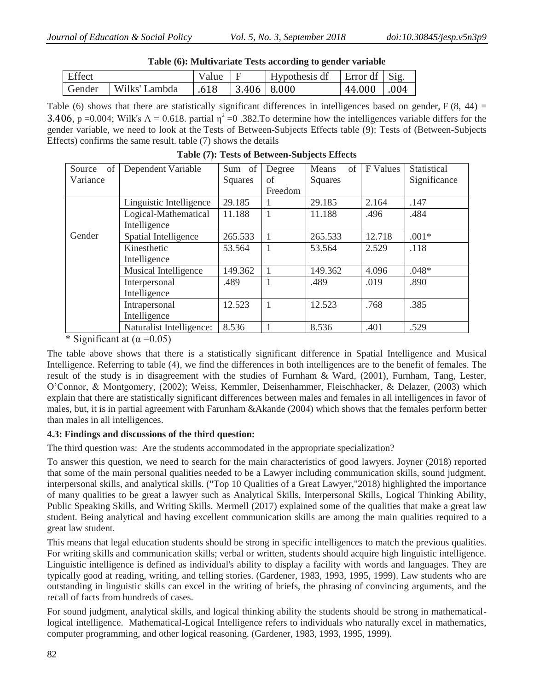| Table (6): Multivariate Tests according to gender variable |                        |                 |             |                                                     |            |  |
|------------------------------------------------------------|------------------------|-----------------|-------------|-----------------------------------------------------|------------|--|
| <b>Effect</b>                                              |                        | Value $\vert$ F |             | $\vert$ Hypothesis df $\vert$ Error df $\vert$ Sig. |            |  |
|                                                            | Gender   Wilks' Lambda | 1.618           | 3.406 8.000 |                                                     | 44.000 004 |  |

Table (6) shows that there are statistically significant differences in intelligences based on gender,  $F(8, 44) =$ 3.406, p =0.004; Wilk's  $\Lambda$  = 0.618. partial  $\eta^2$  =0.382. To determine how the intelligences variable differs for the gender variable, we need to look at the Tests of Between-Subjects Effects table (9): Tests of (Between-Subjects Effects) confirms the same result. table (7) shows the details

| of<br>Source | Dependent Variable       | Sum of  | Degree  | of<br>Means | F Values | Statistical  |
|--------------|--------------------------|---------|---------|-------------|----------|--------------|
| Variance     |                          | Squares | of      | Squares     |          | Significance |
|              |                          |         | Freedom |             |          |              |
|              | Linguistic Intelligence  | 29.185  |         | 29.185      | 2.164    | .147         |
|              | Logical-Mathematical     | 11.188  |         | 11.188      | .496     | .484         |
|              | Intelligence             |         |         |             |          |              |
| Gender       | Spatial Intelligence     | 265.533 |         | 265.533     | 12.718   | $.001*$      |
|              | Kinesthetic              | 53.564  |         | 53.564      | 2.529    | .118         |
|              | Intelligence             |         |         |             |          |              |
|              | Musical Intelligence     | 149.362 |         | 149.362     | 4.096    | $.048*$      |
|              | Interpersonal            | .489    |         | .489        | .019     | .890         |
|              | Intelligence             |         |         |             |          |              |
|              | Intrapersonal            | 12.523  |         | 12.523      | .768     | .385         |
|              | Intelligence             |         |         |             |          |              |
|              | Naturalist Intelligence: | 8.536   |         | 8.536       | .401     | .529         |

**Table (7): Tests of Between-Subjects Effects**

\* Significant at  $\alpha = 0.05$ )

The table above shows that there is a statistically significant difference in Spatial Intelligence and Musical Intelligence. Referring to table (4), we find the differences in both intelligences are to the benefit of females. The result of the study is in disagreement with the studies of Furnham & Ward, (2001), Furnham, Tang, Lester, O"Connor, & Montgomery, (2002); Weiss, Kemmler, Deisenhammer, Fleischhacker, & Delazer, (2003) which explain that there are statistically significant differences between males and females in all intelligences in favor of males, but, it is in partial agreement with Farunham &Akande (2004) which shows that the females perform better than males in all intelligences.

# **4.3: Findings and discussions of the third question:**

The third question was: Are the students accommodated in the appropriate specialization?

To answer this question, we need to search for the main characteristics of good lawyers. Joyner (2018) reported that some of the main personal qualities needed to be a Lawyer including communication skills, sound judgment, interpersonal skills, and analytical skills. ("Top 10 Qualities of a Great Lawyer,"2018) highlighted the importance of many qualities to be great a lawyer such as Analytical Skills, Interpersonal Skills, Logical Thinking Ability, Public Speaking Skills, and Writing Skills. Mermell (2017) explained some of the qualities that make a great law student. Being analytical and having excellent communication skills are among the main qualities required to a great law student.

This means that legal education students should be strong in specific intelligences to match the previous qualities. For writing skills and communication skills; verbal or written, students should acquire high linguistic intelligence. Linguistic intelligence is defined as individual's ability to display a facility with words and languages. They are typically good at reading, writing, and telling stories. (Gardener, 1983, 1993, 1995, 1999). Law students who are outstanding in linguistic skills can excel in the writing of briefs, the phrasing of convincing arguments, and the recall of facts from hundreds of cases.

For sound judgment, analytical skills, and logical thinking ability the students should be strong in mathematicallogical intelligence. Mathematical-Logical Intelligence refers to individuals who naturally excel in mathematics, computer programming, and other logical reasoning. (Gardener, 1983, 1993, 1995, 1999).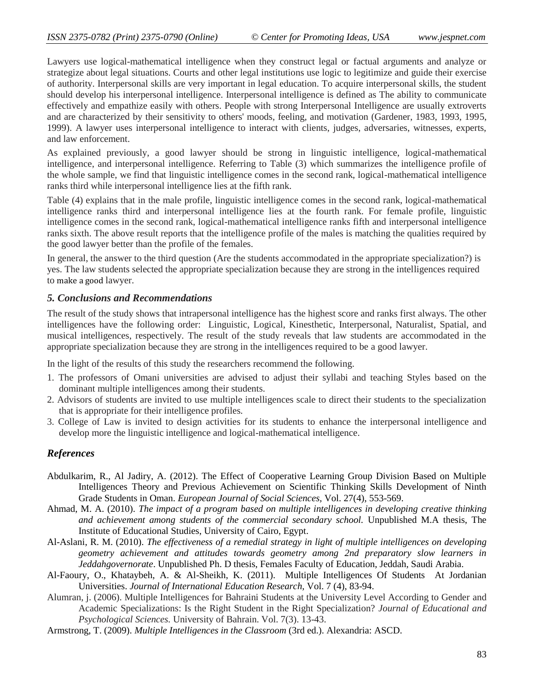Lawyers use logical-mathematical intelligence when they construct legal or factual arguments and analyze or strategize about legal situations. Courts and other legal institutions use logic to legitimize and guide their exercise of authority. Interpersonal skills are very important in legal education. To acquire interpersonal skills, the student should develop his interpersonal intelligence. Interpersonal intelligence is defined as The ability to communicate effectively and empathize easily with others. People with strong Interpersonal Intelligence are usually extroverts and are characterized by their sensitivity to others' moods, feeling, and motivation (Gardener, 1983, 1993, 1995, 1999). A lawyer uses interpersonal intelligence to interact with clients, judges, adversaries, witnesses, experts, and law enforcement.

As explained previously, a good lawyer should be strong in linguistic intelligence, logical-mathematical intelligence, and interpersonal intelligence. Referring to Table (3) which summarizes the intelligence profile of the whole sample, we find that linguistic intelligence comes in the second rank, logical-mathematical intelligence ranks third while interpersonal intelligence lies at the fifth rank.

Table (4) explains that in the male profile, linguistic intelligence comes in the second rank, logical-mathematical intelligence ranks third and interpersonal intelligence lies at the fourth rank. For female profile, linguistic intelligence comes in the second rank, logical-mathematical intelligence ranks fifth and interpersonal intelligence ranks sixth. The above result reports that the intelligence profile of the males is matching the qualities required by the good lawyer better than the profile of the females.

In general, the answer to the third question (Are the students accommodated in the appropriate specialization?) is yes. The law students selected the appropriate specialization because they are strong in the intelligences required to make a good lawyer.

#### *5. Conclusions and Recommendations*

The result of the study shows that intrapersonal intelligence has the highest score and ranks first always. The other intelligences have the following order: Linguistic, Logical, Kinesthetic, Interpersonal, Naturalist, Spatial, and musical intelligences, respectively. The result of the study reveals that law students are accommodated in the appropriate specialization because they are strong in the intelligences required to be a good lawyer.

In the light of the results of this study the researchers recommend the following.

- 1. The professors of Omani universities are advised to adjust their syllabi and teaching Styles based on the dominant multiple intelligences among their students.
- 2. Advisors of students are invited to use multiple intelligences scale to direct their students to the specialization that is appropriate for their intelligence profiles.
- 3. College of Law is invited to design activities for its students to enhance the interpersonal intelligence and develop more the linguistic intelligence and logical-mathematical intelligence.

## *References*

- Abdulkarim, R., Al Jadiry, A. (2012). The Effect of Cooperative Learning Group Division Based on Multiple Intelligences Theory and Previous Achievement on Scientific Thinking Skills Development of Ninth Grade Students in Oman. *European Journal of Social Sciences,* Vol. 27(4), 553-569.
- Ahmad, M. A. (2010). *The impact of a program based on multiple intelligences in developing creative thinking and achievement among students of the commercial secondary school.* Unpublished M.A thesis, The Institute of Educational Studies, University of Cairo, Egypt.
- Al-Aslani, R. M. (2010). *The effectiveness of a remedial strategy in light of multiple intelligences on developing geometry achievement and attitudes towards geometry among 2nd preparatory slow learners in Jeddahgovernorate*. Unpublished Ph. D thesis, Females Faculty of Education, Jeddah, Saudi Arabia.
- Al-Faoury, O., Khataybeh, A. & Al-Sheikh, K. (2011). Multiple Intelligences Of Students At Jordanian Universities. *Journal of International Education Research,* Vol. 7 (4), 83-94.
- Alumran, j. (2006). Multiple Intelligences for Bahraini Students at the University Level According to Gender and Academic Specializations: Is the Right Student in the Right Specialization? *Journal of Educational and Psychological Sciences.* University of Bahrain. Vol. 7(3). 13-43.
- Armstrong, T. (2009). *Multiple Intelligences in the Classroom* (3rd ed.). Alexandria: ASCD.